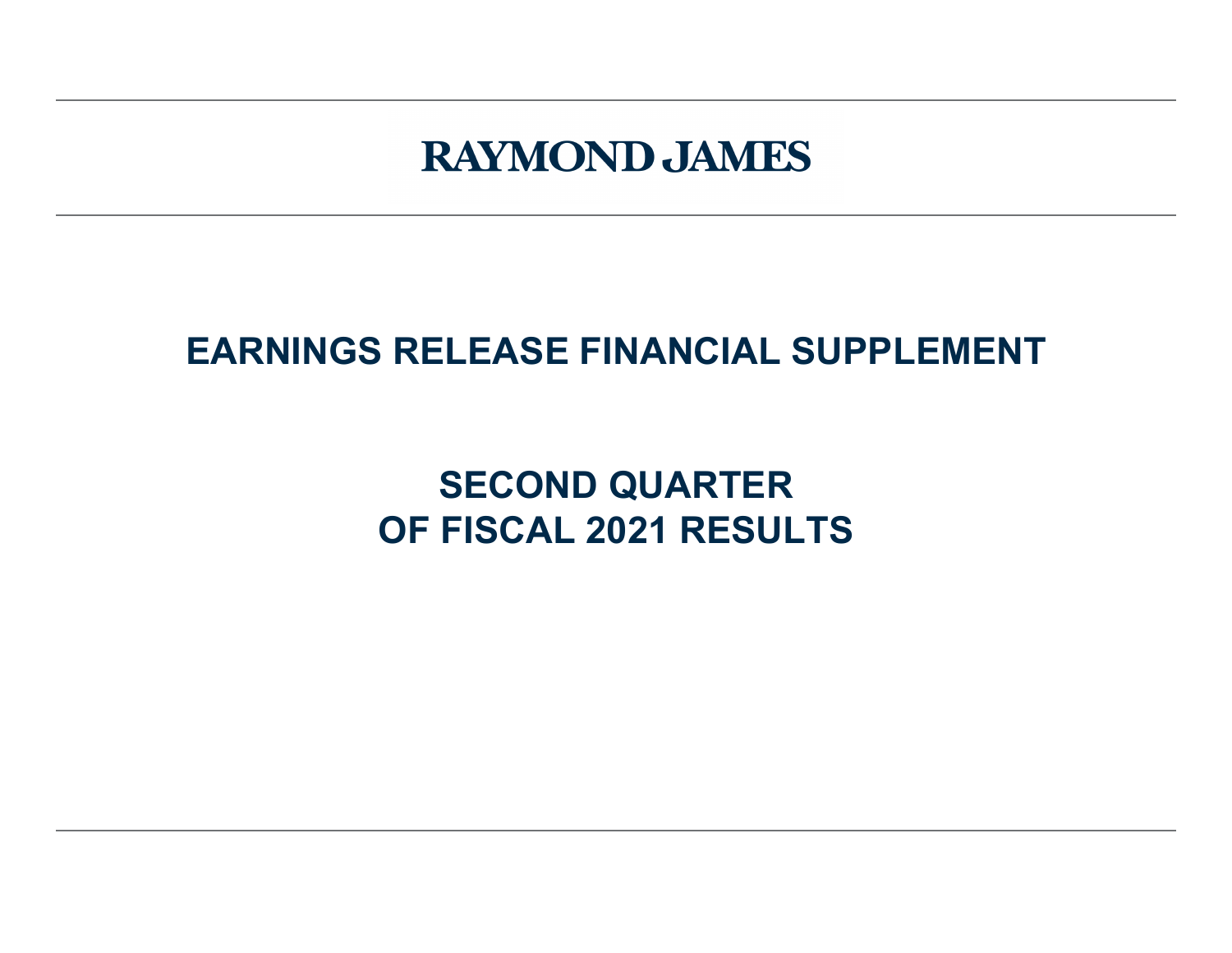# **RAYMOND JAMES**

# **EARNINGS RELEASE FINANCIAL SUPPLEMENT**

# **SECOND QUARTER OF FISCAL 2021 RESULTS**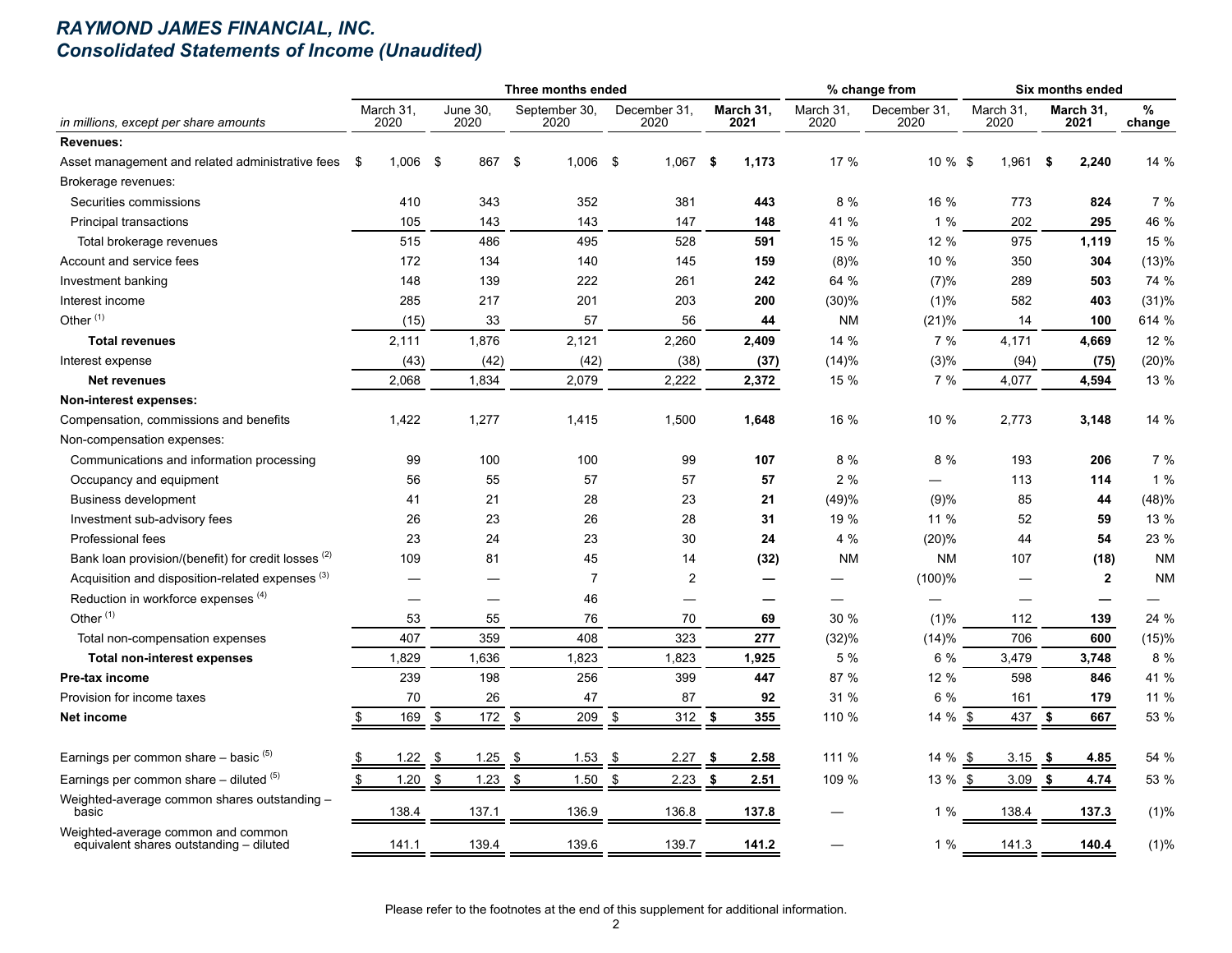## *RAYMOND JAMES FINANCIAL, INC. Consolidated Statements of Income (Unaudited)*

|                                                                               |                    |                         | Three months ended    |                         |                   |                          | % change from        |                          | Six months ended  |             |
|-------------------------------------------------------------------------------|--------------------|-------------------------|-----------------------|-------------------------|-------------------|--------------------------|----------------------|--------------------------|-------------------|-------------|
| in millions, except per share amounts                                         | March 31,<br>2020  | <b>June 30.</b><br>2020 | September 30,<br>2020 | December 31,<br>2020    | March 31,<br>2021 | March 31,<br>2020        | December 31.<br>2020 | March 31,<br>2020        | March 31,<br>2021 | %<br>change |
| <b>Revenues:</b>                                                              |                    |                         |                       |                         |                   |                          |                      |                          |                   |             |
| Asset management and related administrative fees                              | $1,006$ \$<br>- \$ | 867 \$                  | 1,006                 | - \$<br>$1,067$ \$      | 1,173             | 17 %                     | 10 % \$              | 1,961                    | 2,240<br>-\$      | 14 %        |
| Brokerage revenues:                                                           |                    |                         |                       |                         |                   |                          |                      |                          |                   |             |
| Securities commissions                                                        | 410                | 343                     | 352                   | 381                     | 443               | 8 %                      | 16 %                 | 773                      | 824               | 7 %         |
| Principal transactions                                                        | 105                | 143                     | 143                   | 147                     | 148               | 41 %                     | 1%                   | 202                      | 295               | 46 %        |
| Total brokerage revenues                                                      | 515                | 486                     | 495                   | 528                     | 591               | 15 %                     | 12 %                 | 975                      | 1,119             | 15 %        |
| Account and service fees                                                      | 172                | 134                     | 140                   | 145                     | 159               | $(8)\%$                  | 10 %                 | 350                      | 304               | (13)%       |
| Investment banking                                                            | 148                | 139                     | 222                   | 261                     | 242               | 64 %                     | (7)%                 | 289                      | 503               | 74 %        |
| Interest income                                                               | 285                | 217                     | 201                   | 203                     | 200               | (30)%                    | (1)%                 | 582                      | 403               | (31)%       |
| Other $(1)$                                                                   | (15)               | 33                      | 57                    | 56                      | 44                | NM                       | (21)%                | 14                       | 100               | 614 %       |
| <b>Total revenues</b>                                                         | 2,111              | 1,876                   | 2,121                 | 2,260                   | 2,409             | 14 %                     | 7 %                  | 4,171                    | 4,669             | 12 %        |
| Interest expense                                                              | (43)               | (42)                    | (42)                  | (38)                    | (37)              | (14)%                    | (3)%                 | (94)                     | (75)              | (20)%       |
| <b>Net revenues</b>                                                           | 2,068              | 1,834                   | 2,079                 | 2,222                   | 2,372             | 15 %                     | 7%                   | 4,077                    | 4,594             | 13 %        |
| Non-interest expenses:                                                        |                    |                         |                       |                         |                   |                          |                      |                          |                   |             |
| Compensation, commissions and benefits                                        | 1,422              | 1,277                   | 1,415                 | 1,500                   | 1,648             | 16 %                     | 10 %                 | 2,773                    | 3,148             | 14 %        |
| Non-compensation expenses:                                                    |                    |                         |                       |                         |                   |                          |                      |                          |                   |             |
| Communications and information processing                                     | 99                 | 100                     | 100                   | 99                      | 107               | 8 %                      | 8 %                  | 193                      | 206               | 7 %         |
| Occupancy and equipment                                                       | 56                 | 55                      | 57                    | 57                      | 57                | 2%                       |                      | 113                      | 114               | 1%          |
| <b>Business development</b>                                                   | 41                 | 21                      | 28                    | 23                      | 21                | (49)%                    | (9)%                 | 85                       | 44                | (48)%       |
| Investment sub-advisory fees                                                  | 26                 | 23                      | 26                    | 28                      | 31                | 19 %                     | 11 %                 | 52                       | 59                | 13 %        |
| Professional fees                                                             | 23                 | 24                      | 23                    | 30                      | 24                | 4%                       | (20)%                | 44                       | 54                | 23 %        |
| Bank loan provision/(benefit) for credit losses <sup>(2)</sup>                | 109                | 81                      | 45                    | 14                      | (32)              | <b>NM</b>                | <b>NM</b>            | 107                      | (18)              | <b>NM</b>   |
| Acquisition and disposition-related expenses <sup>(3)</sup>                   |                    |                         | $\overline{7}$        | $\overline{\mathbf{c}}$ | ÷.                |                          | $(100)$ %            |                          | $\mathbf{2}$      | <b>NM</b>   |
| Reduction in workforce expenses (4)                                           |                    |                         | 46                    |                         | —                 | $\overline{\phantom{0}}$ |                      | $\overline{\phantom{0}}$ |                   |             |
| Other <sup>(1)</sup>                                                          | 53                 | 55                      | 76                    | 70                      | 69                | 30 %                     | $(1)\%$              | 112                      | 139               | 24 %        |
| Total non-compensation expenses                                               | 407                | 359                     | 408                   | 323                     | 277               | (32)%                    | (14)%                | 706                      | 600               | (15)%       |
| <b>Total non-interest expenses</b>                                            | 1,829              | 1,636                   | 1,823                 | 1,823                   | 1,925             | 5 %                      | 6 %                  | 3,479                    | 3,748             | 8 %         |
| <b>Pre-tax income</b>                                                         | 239                | 198                     | 256                   | 399                     | 447               | 87 %                     | 12 %                 | 598                      | 846               | 41 %        |
| Provision for income taxes                                                    | 70                 | 26                      | 47                    | 87                      | 92                | 31 %                     | 6 %                  | 161                      | 179               | 11 %        |
| Net income                                                                    | 169<br>\$          | \$<br>172 \$            | 209                   | \$<br>312               | - \$<br>355       | 110 %                    | 14 % $$$             | 437                      | \$<br>667         | 53 %        |
| Earnings per common share $-$ basic $(5)$                                     | 1.22               | 1.25<br>-\$             | -\$<br>1.53           | 2.27<br>\$              | 2.58<br>- \$      | 111 %                    | 14 %                 | - \$<br>3.15             | 4.85<br>- \$      | 54 %        |
| Earnings per common share $-$ diluted $(5)$                                   | \$<br>1.20         | \$<br>$1.23$ \$         | 1.50                  | \$<br>2.23              | - \$<br>2.51      | 109 %                    | $13 \%$ \$           | 3.09                     | \$<br>4.74        | 53 %        |
| Weighted-average common shares outstanding -<br>basic                         | 138.4              | 137.1                   | 136.9                 | 136.8                   | 137.8             |                          | 1 %                  | 138.4                    | 137.3             | (1)%        |
| Weighted-average common and common<br>equivalent shares outstanding - diluted | 141.1              | 139.4                   | 139.6                 | 139.7                   | 141.2             |                          | 1%                   | 141.3                    | 140.4             | (1)%        |

Please refer to the footnotes at the end of this supplement for additional information.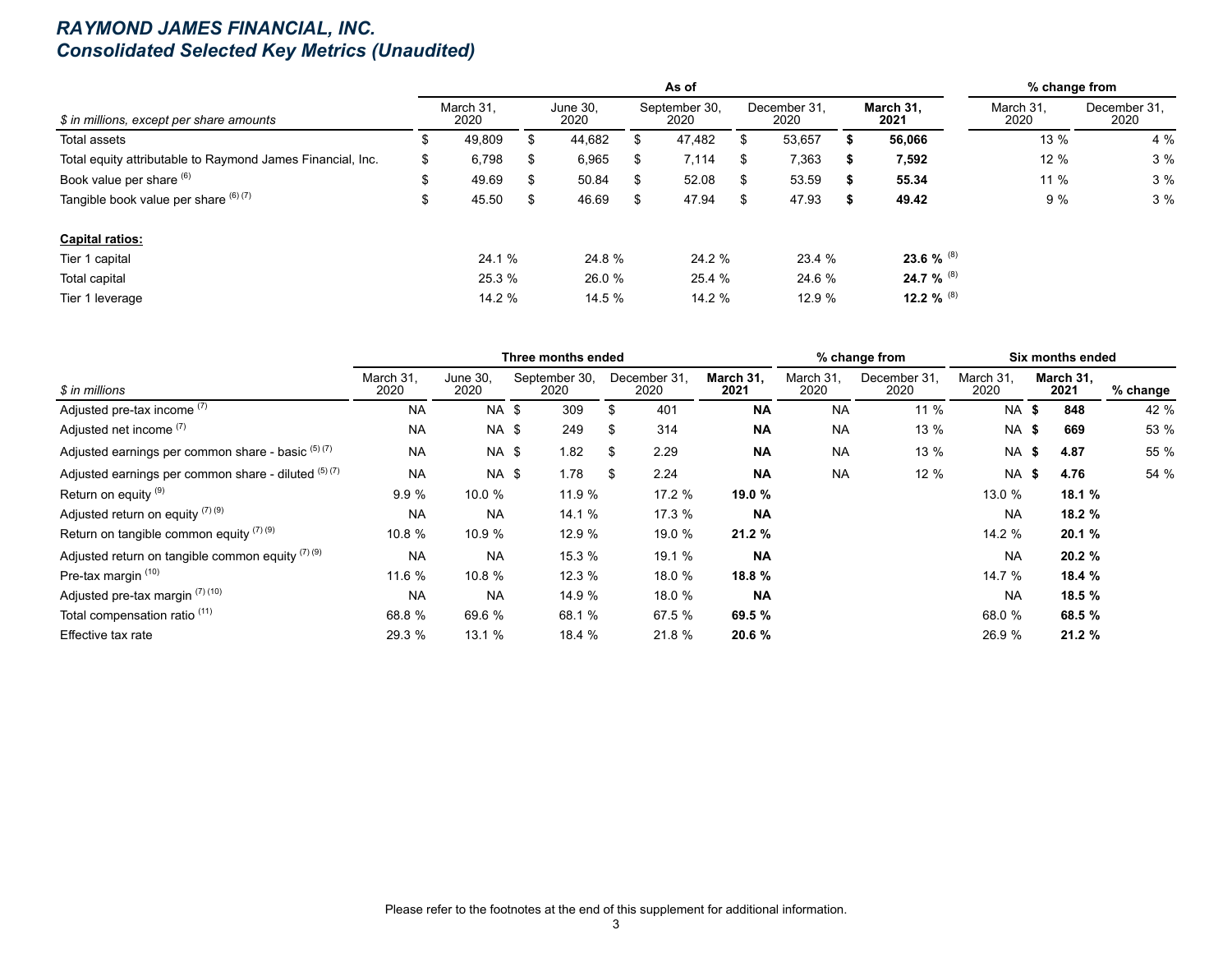## *RAYMOND JAMES FINANCIAL, INC. Consolidated Selected Key Metrics (Unaudited)*

|                                                            |    |                   |    |                  |    | As of                 |    |                      |                   | % change from     |                      |
|------------------------------------------------------------|----|-------------------|----|------------------|----|-----------------------|----|----------------------|-------------------|-------------------|----------------------|
| \$ in millions, except per share amounts                   |    | March 31.<br>2020 |    | June 30.<br>2020 |    | September 30,<br>2020 |    | December 31.<br>2020 | March 31,<br>2021 | March 31.<br>2020 | December 31.<br>2020 |
| Total assets                                               | ה. | 49,809            | S  | 44,682           |    | 47,482                | S  | 53,657               | 56,066            | 13 %              | 4 %                  |
| Total equity attributable to Raymond James Financial, Inc. | S  | 6,798             | S  | 6,965            | S. | 7,114                 | S. | 7,363                | 7,592             | 12%               | 3%                   |
| Book value per share (6)                                   | \$ | 49.69             | -S | 50.84            | S. | 52.08                 | S. | 53.59                | 55.34             | 11%               | 3%                   |
| Tangible book value per share $(6)(7)$                     | \$ | 45.50             | \$ | 46.69            | \$ | 47.94                 | \$ | 47.93                | 49.42             | 9%                | 3%                   |
| <b>Capital ratios:</b>                                     |    |                   |    |                  |    |                       |    |                      |                   |                   |                      |
| Tier 1 capital                                             |    | 24.1 %            |    | 24.8 %           |    | 24.2 %                |    | 23.4 %               | 23.6 % $^{(8)}$   |                   |                      |
| Total capital                                              |    | 25.3 %            |    | 26.0 %           |    | 25.4 %                |    | 24.6 %               | 24.7 % (8)        |                   |                      |
| Tier 1 leverage                                            |    | 14.2 %            |    | 14.5 %           |    | 14.2 %                |    | 12.9 %               | 12.2 % $^{(8)}$   |                   |                      |

|                                                      |                   |                  | Three months ended    |                      |                   |                   | % change from        |                   | Six months ended  |          |
|------------------------------------------------------|-------------------|------------------|-----------------------|----------------------|-------------------|-------------------|----------------------|-------------------|-------------------|----------|
| \$ in millions                                       | March 31.<br>2020 | June 30,<br>2020 | September 30,<br>2020 | December 31,<br>2020 | March 31,<br>2021 | March 31,<br>2020 | December 31,<br>2020 | March 31,<br>2020 | March 31.<br>2021 | % change |
| Adjusted pre-tax income (7)                          | <b>NA</b>         | NA \$            | 309                   | \$<br>401            | <b>NA</b>         | <b>NA</b>         | 11 %                 | <b>NA \$</b>      | 848               | 42 %     |
| Adjusted net income (7)                              | <b>NA</b>         | NA \$            | 249                   | \$<br>314            | <b>NA</b>         | <b>NA</b>         | 13 %                 | NA \$             | 669               | 53 %     |
| Adjusted earnings per common share - basic (5) (7)   | <b>NA</b>         | <b>NA \$</b>     | 1.82                  | \$<br>2.29           | ΝA                | <b>NA</b>         | 13 %                 | <b>NA \$</b>      | 4.87              | 55 %     |
| Adjusted earnings per common share - diluted (5) (7) | <b>NA</b>         | <b>NA \$</b>     | 1.78                  | \$<br>2.24           | <b>NA</b>         | <b>NA</b>         | 12 %                 | <b>NA \$</b>      | 4.76              | 54 %     |
| Return on equity (9)                                 | 9.9%              | 10.0 $%$         | 11.9 %                | 17.2 %               | 19.0 %            |                   |                      | 13.0 %            | 18.1 %            |          |
| Adjusted return on equity (7) (9)                    | <b>NA</b>         | <b>NA</b>        | 14.1 %                | 17.3 %               | <b>NA</b>         |                   |                      | <b>NA</b>         | 18.2 %            |          |
| Return on tangible common equity $(7)(9)$            | 10.8 %            | 10.9 %           | 12.9 %                | 19.0 %               | 21.2 %            |                   |                      | 14.2 %            | 20.1%             |          |
| Adjusted return on tangible common equity $(7)(9)$   | <b>NA</b>         | <b>NA</b>        | 15.3 %                | 19.1 %               | <b>NA</b>         |                   |                      | <b>NA</b>         | 20.2 %            |          |
| Pre-tax margin (10)                                  | 11.6 %            | 10.8 %           | 12.3%                 | 18.0 %               | 18.8 %            |                   |                      | 14.7 %            | 18.4 %            |          |
| Adjusted pre-tax margin (7) (10)                     | <b>NA</b>         | <b>NA</b>        | 14.9 %                | 18.0 %               | <b>NA</b>         |                   |                      | <b>NA</b>         | 18.5 %            |          |
| Total compensation ratio <sup>(11)</sup>             | 68.8 %            | 69.6 %           | 68.1 %                | 67.5 %               | 69.5 %            |                   |                      | 68.0 %            | 68.5 %            |          |
| Effective tax rate                                   | 29.3 %            | 13.1 %           | 18.4 %                | 21.8 %               | 20.6 %            |                   |                      | 26.9 %            | 21.2%             |          |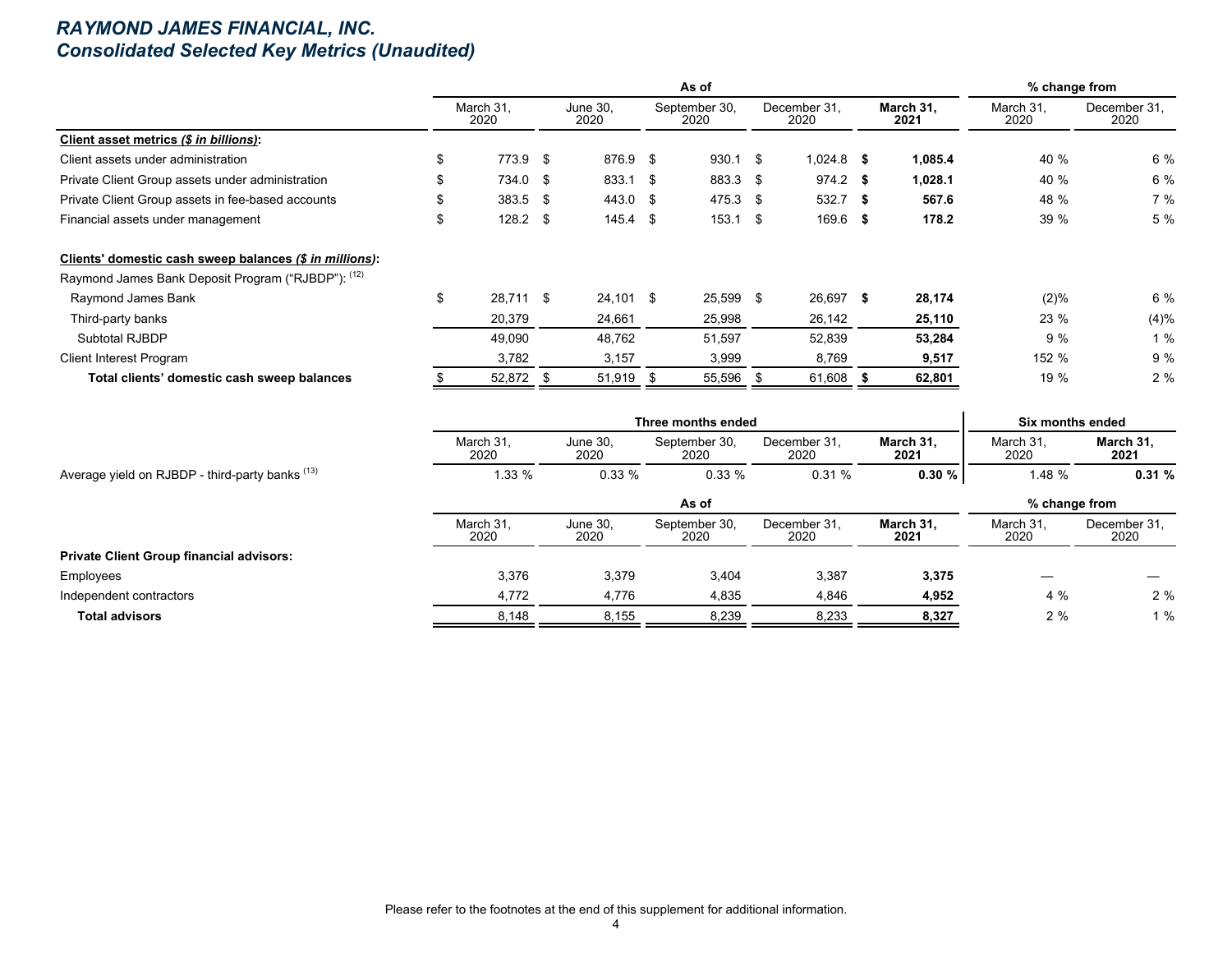## *RAYMOND JAMES FINANCIAL, INC. Consolidated Selected Key Metrics (Unaudited)*

|                                                         |                   |                  | As of                 |                      |                   | % change from     |                      |
|---------------------------------------------------------|-------------------|------------------|-----------------------|----------------------|-------------------|-------------------|----------------------|
|                                                         | March 31.<br>2020 | June 30.<br>2020 | September 30,<br>2020 | December 31.<br>2020 | March 31.<br>2021 | March 31.<br>2020 | December 31.<br>2020 |
| Client asset metrics (\$ in billions):                  |                   |                  |                       |                      |                   |                   |                      |
| Client assets under administration                      | \$<br>773.9 \$    | 876.9 \$         | $930.1$ \$            | $1,024.8$ \$         | 1,085.4           | 40 %              | 6 %                  |
| Private Client Group assets under administration        | 734.0 \$          | 833.1 \$         | 883.3 \$              | $974.2$ \$           | 1,028.1           | 40 %              | 6 %                  |
| Private Client Group assets in fee-based accounts       | $383.5$ \$        | 443.0 \$         | 475.3 \$              | $532.7$ \$           | 567.6             | 48 %              | 7%                   |
| Financial assets under management                       | \$<br>$128.2$ \$  | $145.4$ \$       | $153.1$ \$            | $169.6$ \$           | 178.2             | 39 %              | 5 %                  |
| Clients' domestic cash sweep balances (\$ in millions): |                   |                  |                       |                      |                   |                   |                      |
| Raymond James Bank Deposit Program ("RJBDP"): (12)      |                   |                  |                       |                      |                   |                   |                      |
| Raymond James Bank                                      | \$<br>28,711 \$   | $24,101$ \$      | 25,599 \$             | 26,697 \$            | 28,174            | (2)%              | $6\%$                |
| Third-party banks                                       | 20,379            | 24,661           | 25,998                | 26,142               | 25,110            | 23 %              | (4)%                 |
| Subtotal RJBDP                                          | 49,090            | 48,762           | 51,597                | 52,839               | 53,284            | 9%                | 1%                   |
| <b>Client Interest Program</b>                          | 3,782             | 3,157            | 3,999                 | 8,769                | 9,517             | 152 %             | 9%                   |
| Total clients' domestic cash sweep balances             | 52,872            | 51,919           | 55,596                | 61,608               | 62,801            | 19 %              | 2%                   |

|                                                            |                   |                  | Three months ended    |                      |                   | Six months ended  |                      |
|------------------------------------------------------------|-------------------|------------------|-----------------------|----------------------|-------------------|-------------------|----------------------|
|                                                            | March 31.<br>2020 | June 30,<br>2020 | September 30.<br>2020 | December 31.<br>2020 | March 31.<br>2021 | March 31.<br>2020 | March 31,<br>2021    |
| Average yield on RJBDP - third-party banks <sup>(13)</sup> | 1.33 %            | $0.33\%$         | 0.33%                 | 0.31%                | $0.30 \%$         | 1.48 %            | 0.31%                |
|                                                            |                   |                  | As of                 |                      |                   | % change from     |                      |
|                                                            | March 31.<br>2020 | June 30,<br>2020 | September 30,<br>2020 | December 31.<br>2020 | March 31.<br>2021 | March 31.<br>2020 | December 31.<br>2020 |
| <b>Private Client Group financial advisors:</b>            |                   |                  |                       |                      |                   |                   |                      |
| Employees                                                  | 3,376             | 3,379            | 3,404                 | 3,387                | 3,375             |                   |                      |
| Independent contractors                                    | 4,772             | 4,776            | 4,835                 | 4,846                | 4,952             | 4%                | 2%                   |
| <b>Total advisors</b>                                      | 8,148             | 8,155            | 8,239                 | 8,233                | 8,327             | 2%                | 1%                   |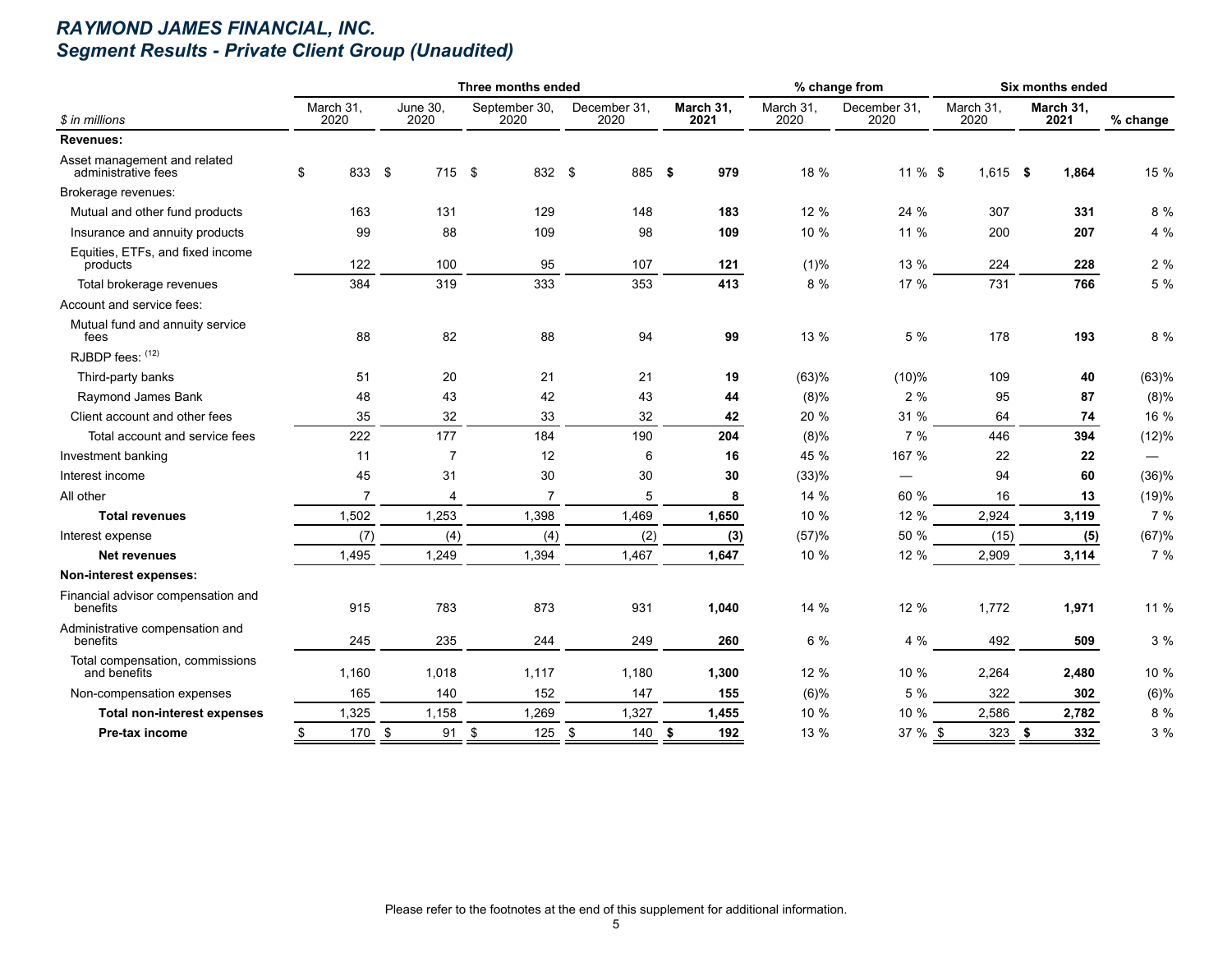# *RAYMOND JAMES FINANCIAL, INC. Segment Results - Private Client Group (Unaudited)*

|                                                     |                   |                  | Three months ended    |                      |                   |                   | % change from        |                   | Six months ended  |          |
|-----------------------------------------------------|-------------------|------------------|-----------------------|----------------------|-------------------|-------------------|----------------------|-------------------|-------------------|----------|
| \$ in millions                                      | March 31,<br>2020 | June 30,<br>2020 | September 30,<br>2020 | December 31,<br>2020 | March 31,<br>2021 | March 31,<br>2020 | December 31,<br>2020 | March 31,<br>2020 | March 31,<br>2021 | % change |
| <b>Revenues:</b>                                    |                   |                  |                       |                      |                   |                   |                      |                   |                   |          |
| Asset management and related<br>administrative fees | \$<br>833 \$      | 715 \$           | 832 \$                | 885 \$               | 979               | 18 %              | $11 \%$ \$           | $1,615$ \$        | 1,864             | 15 %     |
| Brokerage revenues:                                 |                   |                  |                       |                      |                   |                   |                      |                   |                   |          |
| Mutual and other fund products                      | 163               | 131              | 129                   | 148                  | 183               | 12 %              | 24 %                 | 307               | 331               | 8 %      |
| Insurance and annuity products                      | 99                | 88               | 109                   | 98                   | 109               | 10 %              | 11 %                 | 200               | 207               | 4 %      |
| Equities, ETFs, and fixed income<br>products        | 122               | 100              | 95                    | 107                  | 121               | (1)%              | 13 %                 | 224               | 228               | 2%       |
| Total brokerage revenues                            | 384               | 319              | 333                   | 353                  | 413               | 8 %               | 17 %                 | 731               | 766               | 5 %      |
| Account and service fees:                           |                   |                  |                       |                      |                   |                   |                      |                   |                   |          |
| Mutual fund and annuity service<br>fees             | 88                | 82               | 88                    | 94                   | 99                | 13 %              | 5 %                  | 178               | 193               | 8 %      |
| RJBDP fees: (12)                                    |                   |                  |                       |                      |                   |                   |                      |                   |                   |          |
| Third-party banks                                   | 51                | 20               | 21                    | 21                   | 19                | (63)%             | (10)%                | 109               | 40                | (63)%    |
| Raymond James Bank                                  | 48                | 43               | 42                    | 43                   | 44                | (8)%              | 2%                   | 95                | 87                | (8)%     |
| Client account and other fees                       | 35                | 32               | 33                    | 32                   | 42                | 20 %              | 31 %                 | 64                | 74                | 16 %     |
| Total account and service fees                      | 222               | 177              | 184                   | 190                  | 204               | (8)%              | 7 %                  | 446               | 394               | (12)%    |
| Investment banking                                  | 11                | $\overline{7}$   | 12                    | 6                    | 16                | 45 %              | 167 %                | 22                | 22                |          |
| Interest income                                     | 45                | 31               | 30                    | 30                   | 30                | (33)%             |                      | 94                | 60                | (36)%    |
| All other                                           | $\overline{7}$    | $\overline{4}$   | $\overline{7}$        | 5                    | 8                 | 14 %              | 60 %                 | 16                | 13                | (19)%    |
| <b>Total revenues</b>                               | 1,502             | 1,253            | 1,398                 | 1,469                | 1,650             | 10 %              | 12 %                 | 2,924             | 3,119             | 7 %      |
| Interest expense                                    | (7)               | (4)              | (4)                   | (2)                  | (3)               | (57)%             | 50 %                 | (15)              | (5)               | (67)%    |
| <b>Net revenues</b>                                 | 1,495             | 1,249            | 1,394                 | 1,467                | 1,647             | 10 %              | 12 %                 | 2,909             | 3,114             | 7 %      |
| Non-interest expenses:                              |                   |                  |                       |                      |                   |                   |                      |                   |                   |          |
| Financial advisor compensation and<br>benefits      | 915               | 783              | 873                   | 931                  | 1,040             | 14 %              | 12 %                 | 1,772             | 1,971             | 11 %     |
| Administrative compensation and<br>benefits         | 245               | 235              | 244                   | 249                  | 260               | 6 %               | 4 %                  | 492               | 509               | 3 %      |
| Total compensation, commissions<br>and benefits     | 1,160             | 1,018            | 1,117                 | 1,180                | 1,300             | 12 %              | 10 %                 | 2,264             | 2,480             | 10 %     |
| Non-compensation expenses                           | 165               | 140              | 152                   | 147                  | 155               | (6)%              | 5 %                  | 322               | 302               | (6)%     |
| <b>Total non-interest expenses</b>                  | 1,325             | 1,158            | 1,269                 | 1,327                | 1,455             | 10 %              | 10 %                 | 2,586             | 2,782             | 8 %      |
| Pre-tax income                                      | 170<br>\$         | \$<br>91         | \$<br>125             | \$<br>140            | 192<br>\$         | 13 %              | 37 % \$              | 323               | 332<br>\$         | 3 %      |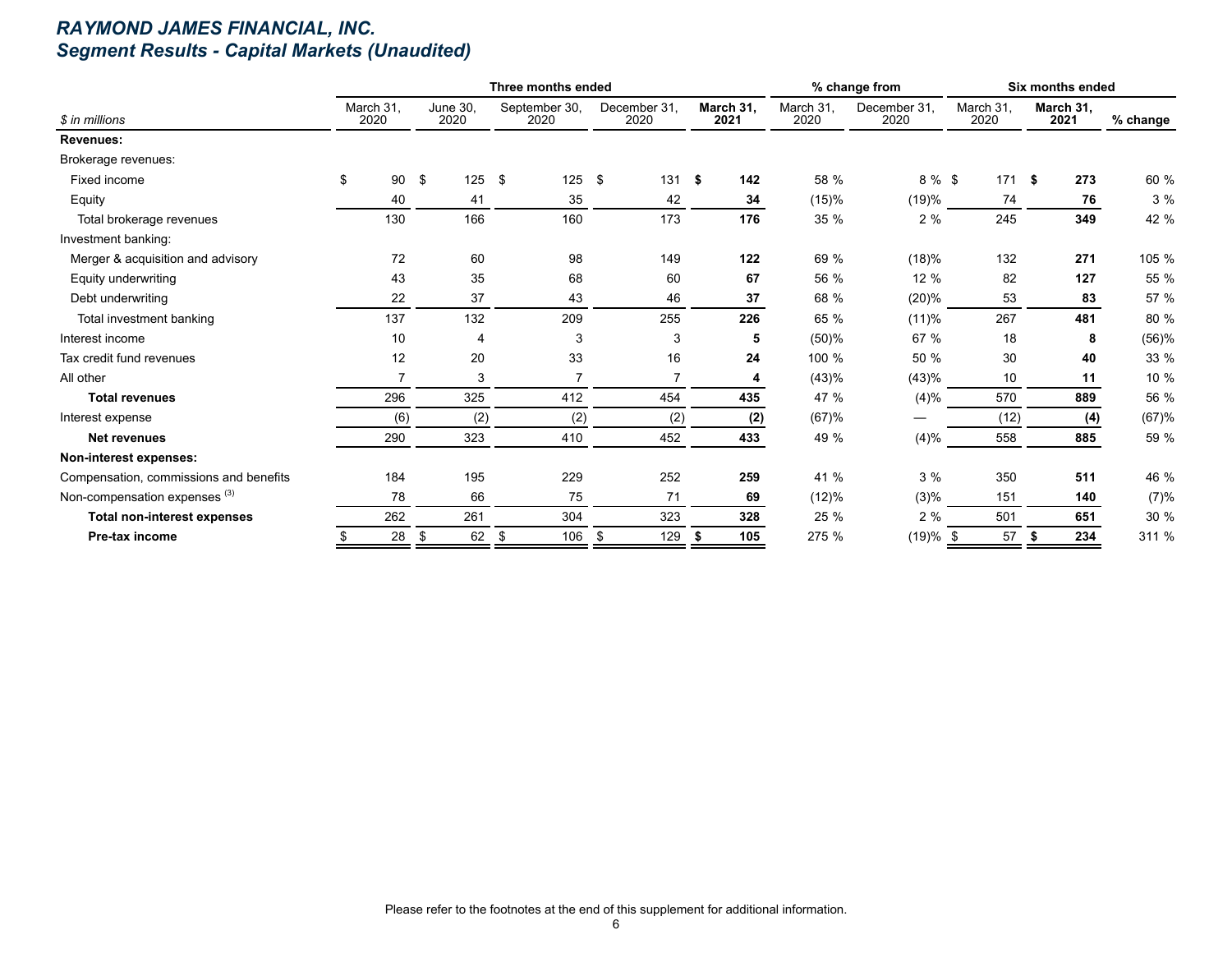# *RAYMOND JAMES FINANCIAL, INC. Segment Results - Capital Markets (Unaudited)*

|                                          |                   |     |                         |               | Three months ended    |                      |              |                   |                   | % change from        |                   | Six months ended  |          |
|------------------------------------------|-------------------|-----|-------------------------|---------------|-----------------------|----------------------|--------------|-------------------|-------------------|----------------------|-------------------|-------------------|----------|
| \$ in millions                           | March 31.<br>2020 |     | <b>June 30.</b><br>2020 |               | September 30,<br>2020 | December 31.<br>2020 |              | March 31,<br>2021 | March 31,<br>2020 | December 31,<br>2020 | March 31,<br>2020 | March 31,<br>2021 | % change |
| <b>Revenues:</b>                         |                   |     |                         |               |                       |                      |              |                   |                   |                      |                   |                   |          |
| Brokerage revenues:                      |                   |     |                         |               |                       |                      |              |                   |                   |                      |                   |                   |          |
| Fixed income                             | \$                | 90  | \$<br>125               | $\mathfrak s$ | 125                   | \$<br>131            | $\mathbf{s}$ | 142               | 58 %              | 8 % \$               | 171S              | 273               | 60 %     |
| Equity                                   |                   | 40  | 41                      |               | 35                    | 42                   |              | 34                | (15)%             | (19)%                | 74                | 76                | 3%       |
| Total brokerage revenues                 |                   | 130 | 166                     |               | 160                   | 173                  |              | 176               | 35 %              | 2%                   | 245               | 349               | 42 %     |
| Investment banking:                      |                   |     |                         |               |                       |                      |              |                   |                   |                      |                   |                   |          |
| Merger & acquisition and advisory        |                   | 72  | 60                      |               | 98                    | 149                  |              | 122               | 69 %              | (18)%                | 132               | 271               | 105 %    |
| Equity underwriting                      |                   | 43  | 35                      |               | 68                    | 60                   |              | 67                | 56 %              | 12 %                 | 82                | 127               | 55 %     |
| Debt underwriting                        |                   | 22  | 37                      |               | 43                    | 46                   |              | 37                | 68 %              | (20)%                | 53                | 83                | 57 %     |
| Total investment banking                 |                   | 137 | 132                     |               | 209                   | 255                  |              | 226               | 65 %              | (11)%                | 267               | 481               | 80 %     |
| Interest income                          |                   | 10  | 4                       |               | 3                     | 3                    |              | 5                 | (50)%             | 67 %                 | 18                | 8                 | (56)%    |
| Tax credit fund revenues                 |                   | 12  | 20                      |               | 33                    | 16                   |              | 24                | 100 %             | 50 %                 | 30                | 40                | 33 %     |
| All other                                |                   | 7   | 3                       |               |                       |                      |              | 4                 | (43)%             | (43)%                | 10                | 11                | 10 %     |
| <b>Total revenues</b>                    |                   | 296 | 325                     |               | 412                   | 454                  |              | 435               | 47 %              | (4)%                 | 570               | 889               | 56 %     |
| Interest expense                         |                   | (6) | (2)                     |               | (2)                   | (2)                  |              | (2)               | (67)%             |                      | (12)              | (4)               | (67)%    |
| <b>Net revenues</b>                      |                   | 290 | 323                     |               | 410                   | 452                  |              | 433               | 49 %              | (4)%                 | 558               | 885               | 59 %     |
| Non-interest expenses:                   |                   |     |                         |               |                       |                      |              |                   |                   |                      |                   |                   |          |
| Compensation, commissions and benefits   |                   | 184 | 195                     |               | 229                   | 252                  |              | 259               | 41 %              | 3%                   | 350               | 511               | 46 %     |
| Non-compensation expenses <sup>(3)</sup> |                   | 78  | 66                      |               | 75                    | 71                   |              | 69                | (12)%             | (3)%                 | 151               | 140               | (7)%     |
| <b>Total non-interest expenses</b>       |                   | 262 | 261                     |               | 304                   | 323                  |              | 328               | 25 %              | 2%                   | 501               | 651               | 30 %     |
| Pre-tax income                           |                   | 28  | 62<br>\$                | \$            | 106                   | \$<br>129            | - 5          | 105               | 275 %             | $(19)%$ \$           | 57                | 234               | 311 %    |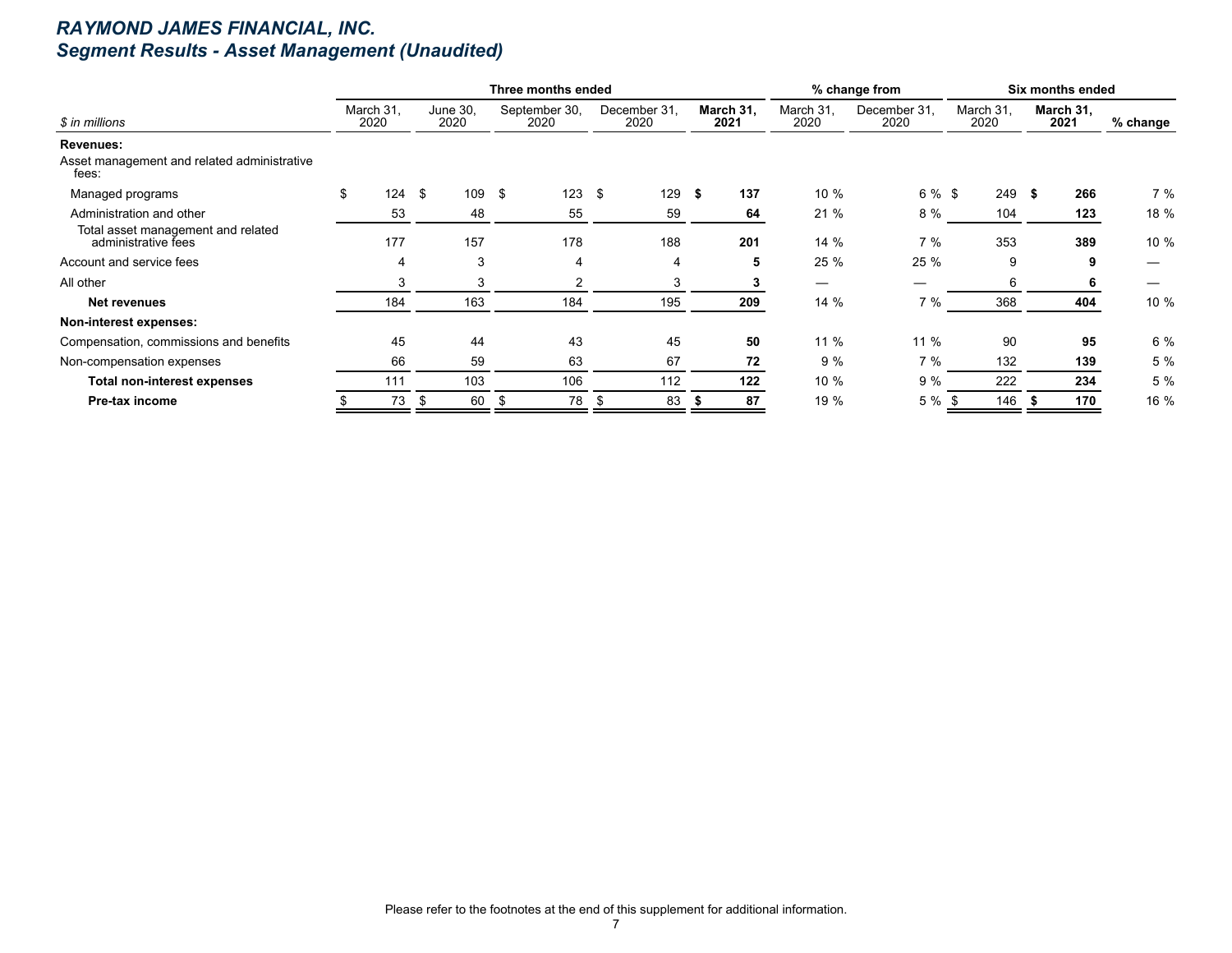# *RAYMOND JAMES FINANCIAL, INC. Segment Results - Asset Management (Unaudited)*

|                                                           |                   |     |                  | Three months ended    |      |                      |      |                   |                   | % change from        |                   | Six months ended  |          |
|-----------------------------------------------------------|-------------------|-----|------------------|-----------------------|------|----------------------|------|-------------------|-------------------|----------------------|-------------------|-------------------|----------|
| \$ in millions                                            | March 31,<br>2020 |     | June 30,<br>2020 | September 30,<br>2020 |      | December 31.<br>2020 |      | March 31,<br>2021 | March 31,<br>2020 | December 31,<br>2020 | March 31,<br>2020 | March 31,<br>2021 | % change |
| Revenues:                                                 |                   |     |                  |                       |      |                      |      |                   |                   |                      |                   |                   |          |
| Asset management and related administrative<br>fees:      |                   |     |                  |                       |      |                      |      |                   |                   |                      |                   |                   |          |
| Managed programs                                          | \$                | 124 | \$<br>109 \$     | 123                   | \$   | 129                  | - \$ | 137               | 10 %              | 6 % \$               | 249               | \$<br>266         | 7 %      |
| Administration and other                                  |                   | 53  | 48               | 55                    |      | 59                   |      | 64                | 21 %              | 8 %                  | 104               | 123               | 18 %     |
| Total asset management and related<br>administrative fees |                   | 177 | 157              | 178                   |      | 188                  |      | 201               | 14%               | 7%                   | 353               | 389               | 10 %     |
| Account and service fees                                  |                   | 4   | 3                | 4                     |      | 4                    |      | 5                 | 25 %              | 25 %                 | 9                 | 9                 |          |
| All other                                                 |                   | 3   | 3                |                       |      |                      |      |                   |                   |                      | 6                 |                   |          |
| Net revenues                                              |                   | 184 | 163              | 184                   |      | 195                  |      | 209               | 14 %              | 7%                   | 368               | 404               | 10 %     |
| Non-interest expenses:                                    |                   |     |                  |                       |      |                      |      |                   |                   |                      |                   |                   |          |
| Compensation, commissions and benefits                    |                   | 45  | 44               | 43                    |      | 45                   |      | 50                | 11 %              | 11 %                 | 90                | 95                | 6 %      |
| Non-compensation expenses                                 |                   | 66  | 59               | 63                    |      | 67                   |      | 72                | 9%                | 7%                   | 132               | 139               | 5 %      |
| <b>Total non-interest expenses</b>                        |                   | 111 | 103              | 106                   |      | 112                  |      | 122               | 10 %              | 9%                   | 222               | 234               | 5 %      |
| Pre-tax income                                            |                   | 73  | 60<br>-\$        | 78<br>Æ               | - 56 | 83                   |      | 87                | 19 %              | 5 %                  | 146               | 170               | 16 %     |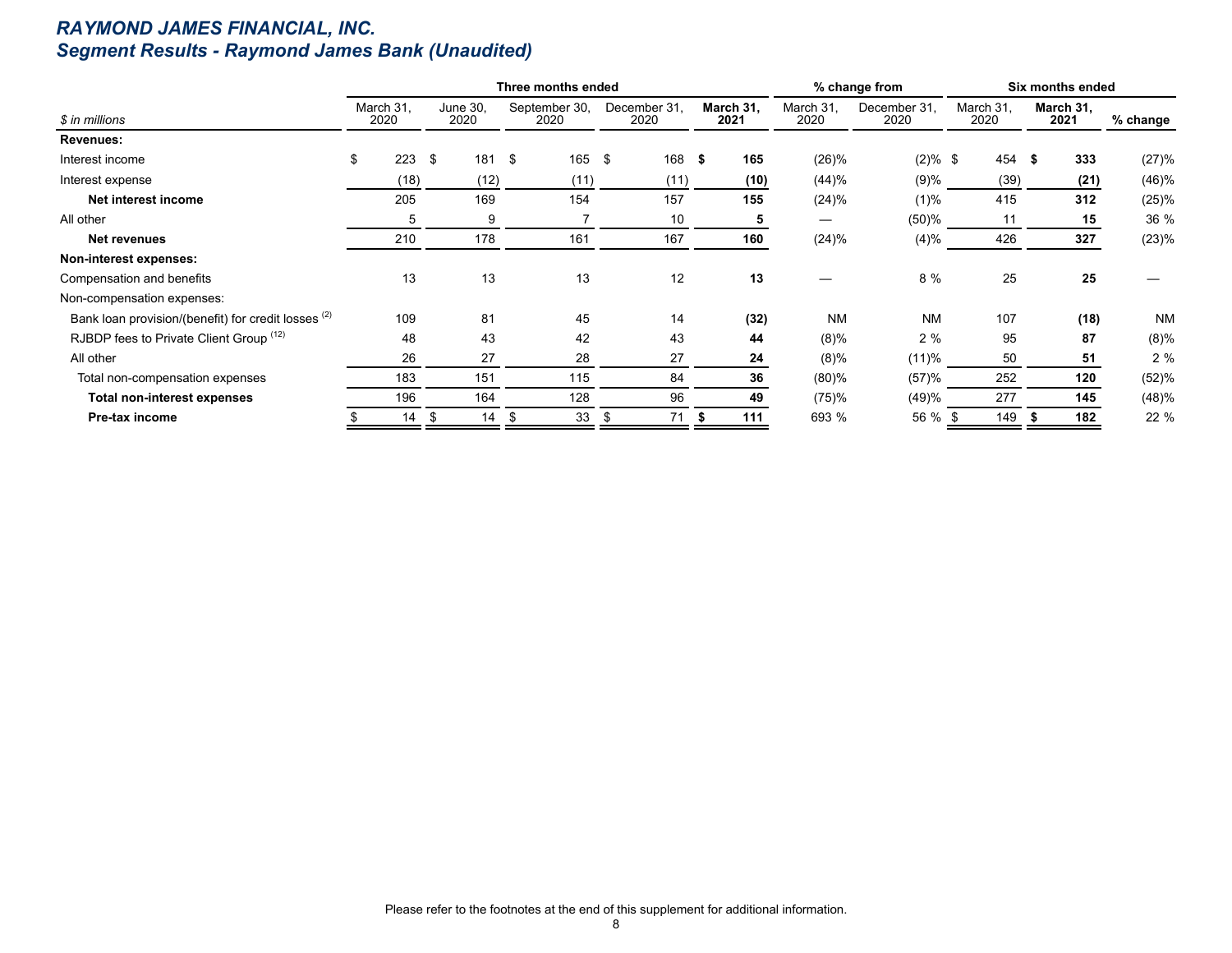# *RAYMOND JAMES FINANCIAL, INC. Segment Results - Raymond James Bank (Unaudited)*

|                                                                |                   |                  | Three months ended    |                      |                   |                   | % change from        |                   | Six months ended  |           |
|----------------------------------------------------------------|-------------------|------------------|-----------------------|----------------------|-------------------|-------------------|----------------------|-------------------|-------------------|-----------|
| \$ in millions                                                 | March 31,<br>2020 | June 30,<br>2020 | September 30,<br>2020 | December 31.<br>2020 | March 31,<br>2021 | March 31,<br>2020 | December 31.<br>2020 | March 31,<br>2020 | March 31,<br>2021 | % change  |
| <b>Revenues:</b>                                               |                   |                  |                       |                      |                   |                   |                      |                   |                   |           |
| Interest income                                                | \$<br>223         | \$<br>181        | \$<br>$165 - $$       | 168                  | 165<br>- \$       | (26)%             | $(2) \%$ \$          | 454               | 333<br>-\$        | (27)%     |
| Interest expense                                               | (18)              | (12)             | (11)                  | (11)                 | (10)              | (44)%             | (9)%                 | (39)              | (21)              | (46)%     |
| Net interest income                                            | 205               | 169              | 154                   | 157                  | 155               | (24)%             | (1)%                 | 415               | 312               | (25)%     |
| All other                                                      | 5                 | 9                |                       | 10                   | 5                 | —                 | (50)%                | 11                | 15                | 36 %      |
| Net revenues                                                   | 210               | 178              | 161                   | 167                  | 160               | $(24)\%$          | (4)%                 | 426               | 327               | (23)%     |
| Non-interest expenses:                                         |                   |                  |                       |                      |                   |                   |                      |                   |                   |           |
| Compensation and benefits                                      | 13                | 13               | 13                    | 12                   | 13                |                   | 8 %                  | 25                | 25                |           |
| Non-compensation expenses:                                     |                   |                  |                       |                      |                   |                   |                      |                   |                   |           |
| Bank loan provision/(benefit) for credit losses <sup>(2)</sup> | 109               | 81               | 45                    | 14                   | (32)              | <b>NM</b>         | <b>NM</b>            | 107               | (18)              | <b>NM</b> |
| RJBDP fees to Private Client Group (12)                        | 48                | 43               | 42                    | 43                   | 44                | $(8)\%$           | 2%                   | 95                | 87                | (8)%      |
| All other                                                      | 26                | 27               | 28                    | 27                   | 24                | $(8)\%$           | (11)%                | 50                | 51                | 2%        |
| Total non-compensation expenses                                | 183               | 151              | 115                   | 84                   | 36                | (80)%             | (57)%                | 252               | 120               | (52)%     |
| <b>Total non-interest expenses</b>                             | 196               | 164              | 128                   | 96                   | 49                | (75)%             | (49)%                | 277               | 145               | (48)%     |
| Pre-tax income                                                 | 14                | 14<br>- \$       | 33<br>ж,              | 71<br>-\$            | 111<br>- 55       | 693 %             | 56 % \$              | 149               | 182               | 22 %      |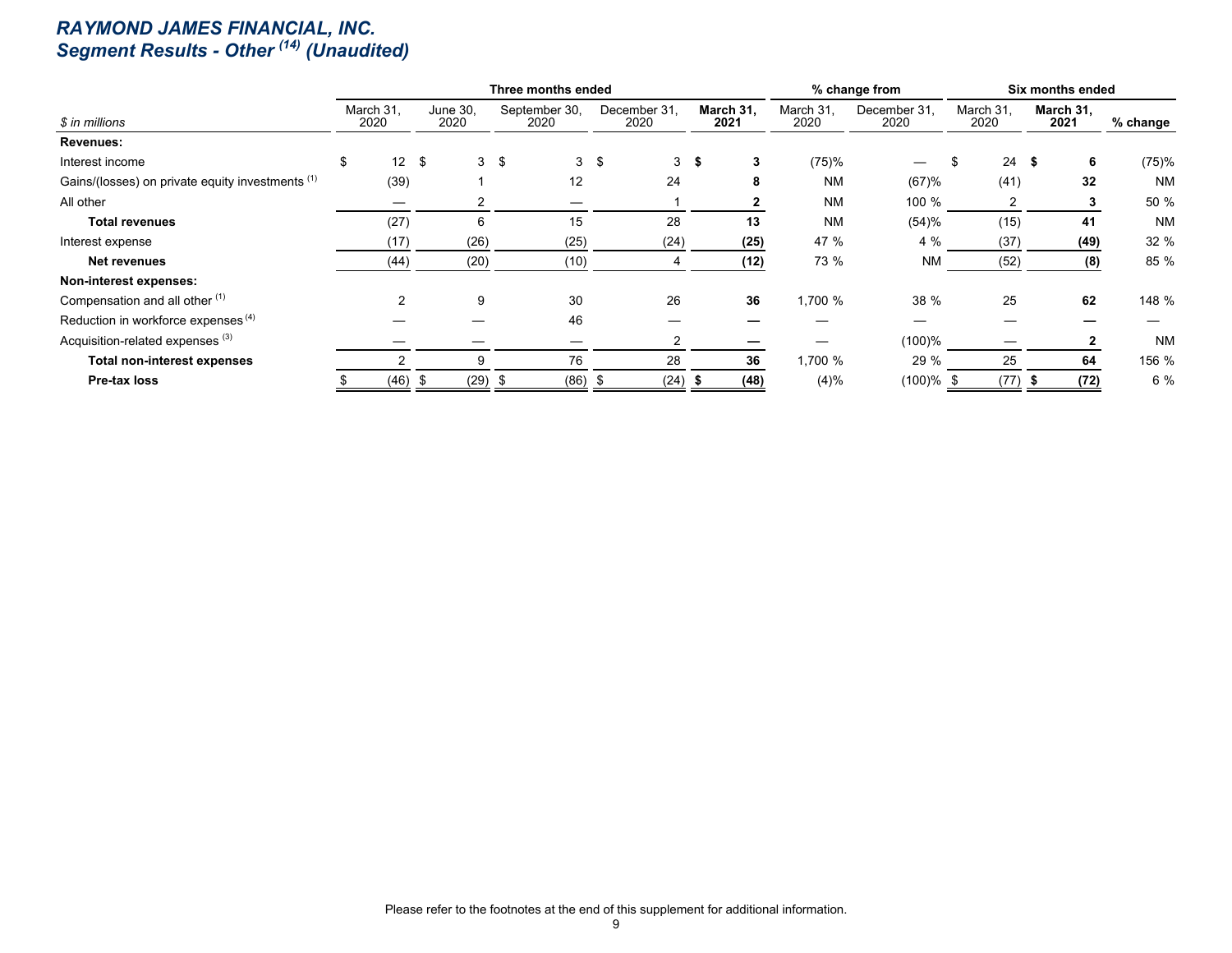#### *RAYMOND JAMES FINANCIAL, INC. Segment Results - Other (14) (Unaudited)*

|                                                  |                       |      |                  |                | Three months ended    |      |                      |      |                   |                   | % change from        |                   |         | Six months ended  |           |
|--------------------------------------------------|-----------------------|------|------------------|----------------|-----------------------|------|----------------------|------|-------------------|-------------------|----------------------|-------------------|---------|-------------------|-----------|
| \$ in millions                                   | March 31.<br>2020     |      | June 30,<br>2020 |                | September 30,<br>2020 |      | December 31.<br>2020 |      | March 31.<br>2021 | March 31,<br>2020 | December 31.<br>2020 | March 31.<br>2020 |         | March 31,<br>2021 | % change  |
| Revenues:                                        |                       |      |                  |                |                       |      |                      |      |                   |                   |                      |                   |         |                   |           |
| Interest income                                  | \$<br>12 <sup>°</sup> | \$   |                  | 3 <sup>5</sup> | 3                     | - \$ | 3 <sup>1</sup>       | - \$ | 3                 | (75)%             |                      |                   | $24$ \$ | 6                 | (75)%     |
| Gains/(losses) on private equity investments (1) | (39)                  |      |                  |                | 12                    |      | 24                   |      | 8                 | <b>NM</b>         | (67)%                |                   | (41)    | 32                | <b>NM</b> |
| All other                                        |                       |      |                  |                |                       |      |                      |      |                   | <b>NM</b>         | 100 %                |                   | 2       |                   | 50 %      |
| Total revenues                                   | (27)                  |      | 6                |                | 15                    |      | 28                   |      | 13                | <b>NM</b>         | (54)%                |                   | (15)    | 41                | <b>NM</b> |
| Interest expense                                 | (17)                  |      | (26)             |                | (25)                  |      | (24)                 |      | (25)              | 47 %              | 4 %                  |                   | (37)    | (49)              | 32 %      |
| <b>Net revenues</b>                              | (44)                  |      | (20)             |                | (10)                  |      |                      |      | (12)              | 73 %              | <b>NM</b>            |                   | (52)    | (8)               | 85 %      |
| Non-interest expenses:                           |                       |      |                  |                |                       |      |                      |      |                   |                   |                      |                   |         |                   |           |
| Compensation and all other (1)                   |                       |      | 9                |                | 30                    |      | 26                   |      | 36                | 1,700 %           | 38 %                 |                   | 25      | 62                | 148 %     |
| Reduction in workforce expenses <sup>(4)</sup>   |                       |      |                  |                | 46                    |      |                      |      |                   |                   |                      |                   |         |                   |           |
| Acquisition-related expenses <sup>(3)</sup>      |                       |      |                  |                |                       |      |                      |      |                   |                   | (100)%               |                   |         |                   | <b>NM</b> |
| <b>Total non-interest expenses</b>               |                       |      | 9                |                | 76                    |      | 28                   |      | 36                | 1,700 %           | 29 %                 |                   | 25      | 64                | 156 %     |
| Pre-tax loss                                     | (46)                  | - \$ | (29)             |                | (86)                  | ಾ    | (24)                 | - 3  | (48)              | (4)%              | $(100)\%$ \$         |                   | (77)    | (72)              | 6 %       |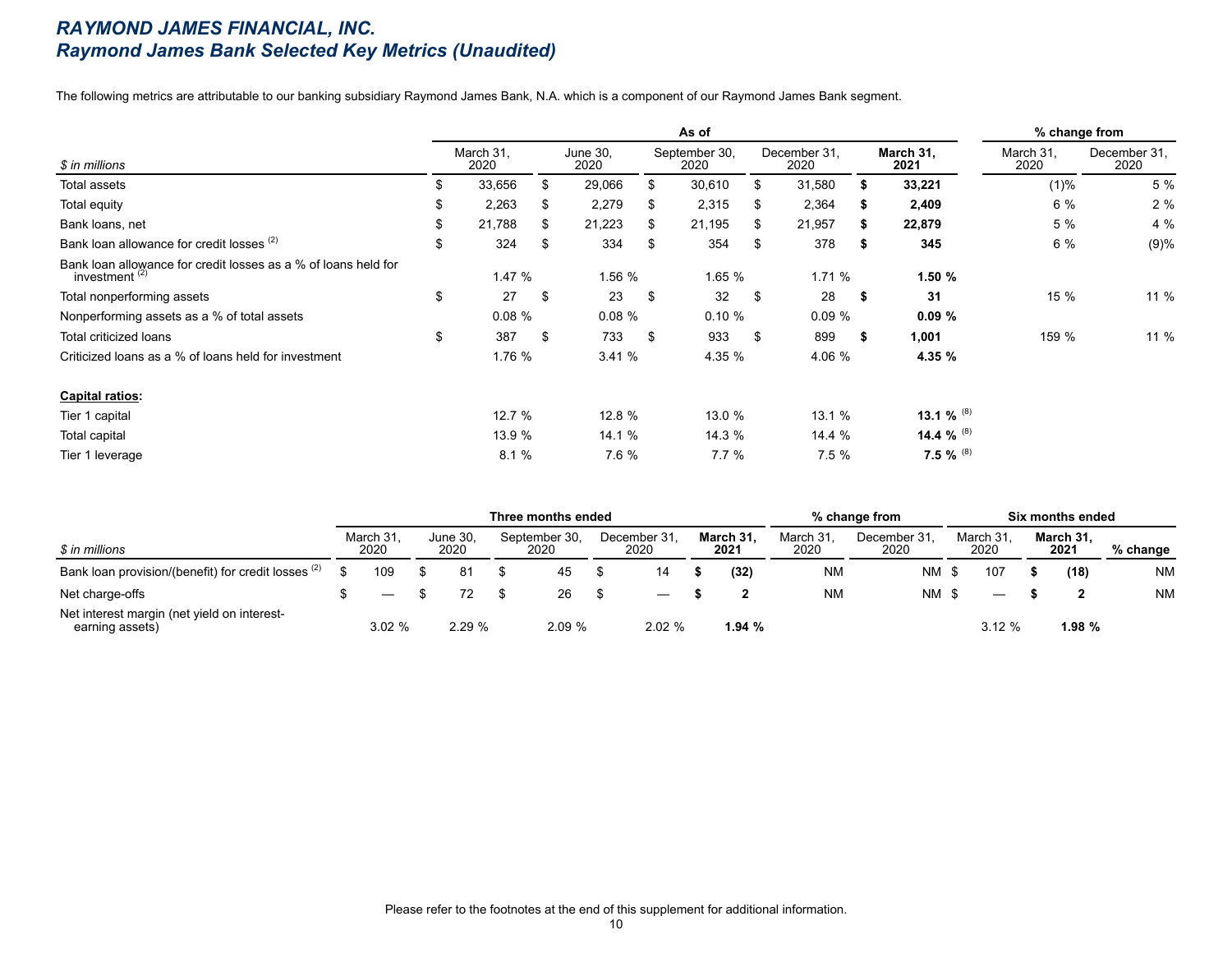### *RAYMOND JAMES FINANCIAL, INC. Raymond James Bank Selected Key Metrics (Unaudited)*

The following metrics are attributable to our banking subsidiary Raymond James Bank, N.A. which is a component of our Raymond James Bank segment.

|                                                                                    |    |                   |    |                  |     | As of                 |     |                      |      |                   | % change from     |                      |
|------------------------------------------------------------------------------------|----|-------------------|----|------------------|-----|-----------------------|-----|----------------------|------|-------------------|-------------------|----------------------|
| \$ in millions                                                                     |    | March 31,<br>2020 |    | June 30,<br>2020 |     | September 30,<br>2020 |     | December 31,<br>2020 |      | March 31,<br>2021 | March 31,<br>2020 | December 31.<br>2020 |
| Total assets                                                                       | S  | 33,656            | S  | 29,066           | \$  | 30,610                |     | 31,580               |      | 33,221            | $(1)\%$           | 5 %                  |
| Total equity                                                                       | \$ | 2,263             |    | 2,279            | S   | 2,315                 | S   | 2,364                | ъ.   | 2,409             | 6 %               | 2%                   |
| Bank loans, net                                                                    | \$ | 21,788            | S  | 21,223           | S.  | 21,195                | \$  | 21,957               | S.   | 22,879            | 5 %               | 4 %                  |
| Bank loan allowance for credit losses (2)                                          | \$ | 324               | \$ | 334              | \$  | 354                   | \$  | 378                  | -5   | 345               | 6 %               | (9)%                 |
| Bank loan allowance for credit losses as a % of loans held for<br>investment $(2)$ |    | 1.47%             |    | 1.56 %           |     | 1.65 %                |     | 1.71%                |      | 1.50%             |                   |                      |
| Total nonperforming assets                                                         | \$ | 27                | \$ | 23               | \$  | 32                    | \$  | 28                   | - \$ | 31                | 15 %              | 11 %                 |
| Nonperforming assets as a % of total assets                                        |    | 0.08%             |    | 0.08%            |     | 0.10%                 |     | 0.09%                |      | 0.09%             |                   |                      |
| Total criticized loans                                                             | \$ | 387               | \$ | 733              | \$. | 933                   | -\$ | 899                  | S.   | 1,001             | 159 %             | 11 %                 |
| Criticized loans as a % of loans held for investment                               |    | 1.76 %            |    | 3.41%            |     | 4.35 %                |     | 4.06 %               |      | 4.35 %            |                   |                      |
| <b>Capital ratios:</b>                                                             |    |                   |    |                  |     |                       |     |                      |      |                   |                   |                      |
| Tier 1 capital                                                                     |    | 12.7%             |    | 12.8 %           |     | 13.0 %                |     | 13.1 %               |      | 13.1 % $^{(8)}$   |                   |                      |
| Total capital                                                                      |    | 13.9 %            |    | 14.1 %           |     | 14.3 %                |     | 14.4 %               |      | 14.4 % $^{(8)}$   |                   |                      |
| Tier 1 leverage                                                                    |    | 8.1%              |    | 7.6 %            |     | 7.7%                  |     | 7.5%                 |      | 7.5 % $^{(8)}$    |                   |                      |

|                                                                |                  |                  | Three months ended    |                      |                   |                  | % change from       |                   | Six months ended  |            |
|----------------------------------------------------------------|------------------|------------------|-----------------------|----------------------|-------------------|------------------|---------------------|-------------------|-------------------|------------|
| \$ in millions                                                 | March 31<br>2020 | June 30,<br>2020 | September 30,<br>2020 | December 31.<br>2020 | March 31.<br>2021 | March 31<br>2020 | December 31<br>2020 | March 31,<br>2020 | March 31.<br>2021 | $%$ change |
| Bank loan provision/(benefit) for credit losses (2)            | 109              | 81               | 45                    |                      | (32)              | <b>NM</b>        | NM                  | 107               | (18)              | <b>NM</b>  |
| Net charge-offs                                                |                  |                  | 26                    | –                    |                   | <b>NM</b>        | $NM$ \$             | –                 |                   | <b>NM</b>  |
| Net interest margin (net yield on interest-<br>earning assets) | 3.02%            | 2.29%            | 2.09 %                | 2.02%                | 1.94%             |                  |                     | 3.12%             | 1.98 %            |            |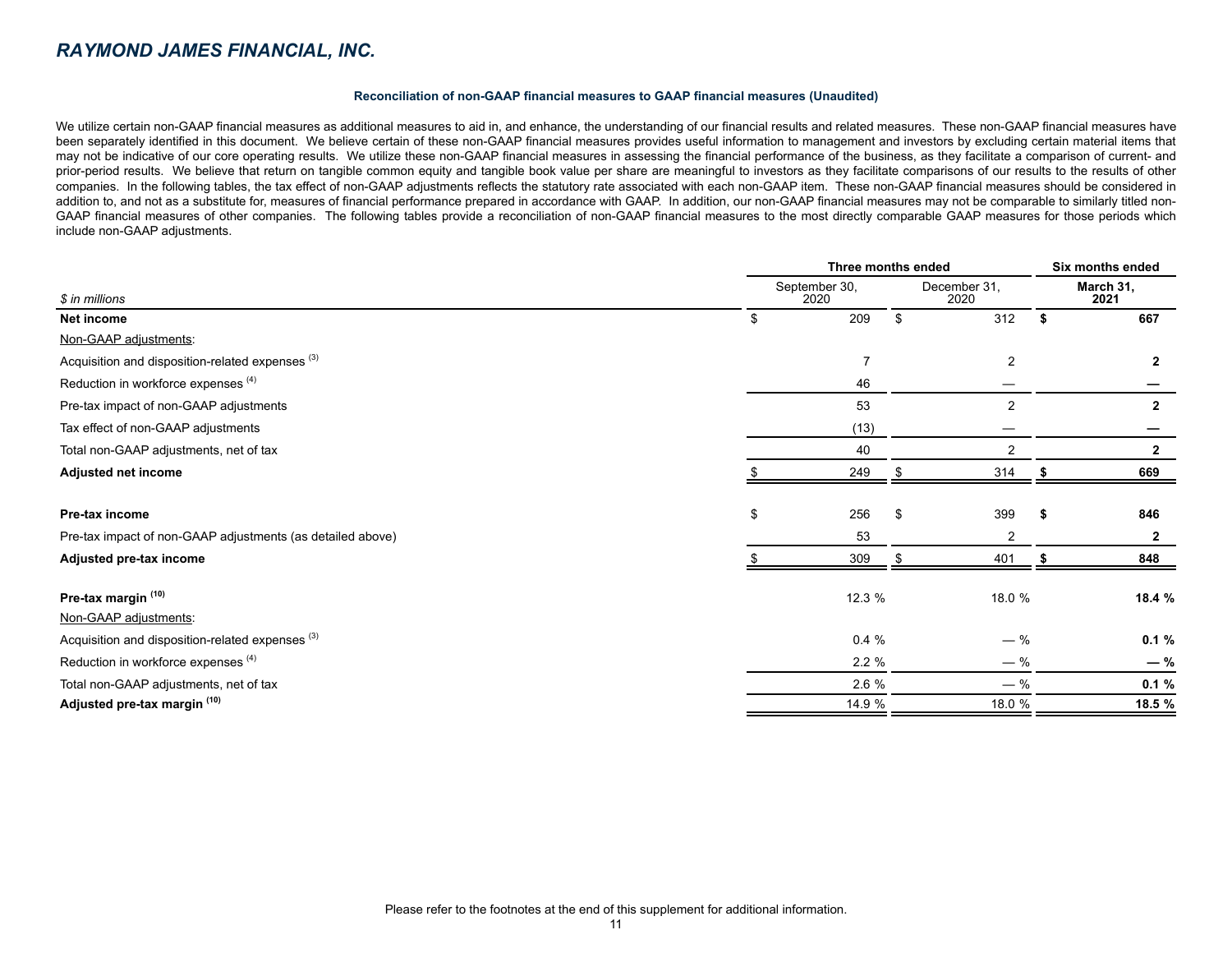#### *RAYMOND JAMES FINANCIAL, INC.*

#### **Reconciliation of non-GAAP financial measures to GAAP financial measures (Unaudited)**

We utilize certain non-GAAP financial measures as additional measures to aid in, and enhance, the understanding of our financial results and related measures. These non-GAAP financial measures have been separately identified in this document. We believe certain of these non-GAAP financial measures provides useful information to management and investors by excluding certain material items that may not be indicative of our core operating results. We utilize these non-GAAP financial measures in assessing the financial performance of the business, as they facilitate a comparison of current- and prior-period results. We believe that return on tangible common equity and tangible book value per share are meaningful to investors as they facilitate comparisons of our results to the results of other companies. In the following tables, the tax effect of non-GAAP adjustments reflects the statutory rate associated with each non-GAAP item. These non-GAAP financial measures should be considered in addition to, and not as a substitute for, measures of financial performance prepared in accordance with GAAP. In addition, our non-GAAP financial measures may not be comparable to similarly titled non-GAAP financial measures of other companies. The following tables provide a reconciliation of non-GAAP financial measures to the most directly comparable GAAP measures for those periods which include non-GAAP adjustments.

|                                                             | Three months ended    | Six months ended     |    |                   |  |
|-------------------------------------------------------------|-----------------------|----------------------|----|-------------------|--|
| \$ in millions                                              | September 30,<br>2020 | December 31,<br>2020 |    | March 31,<br>2021 |  |
| Net income                                                  | \$<br>209             | 312                  | \$ | 667               |  |
| Non-GAAP adjustments:                                       |                       |                      |    |                   |  |
| Acquisition and disposition-related expenses <sup>(3)</sup> | $\overline{7}$        | 2                    |    | $\overline{2}$    |  |
| Reduction in workforce expenses (4)                         | 46                    |                      |    |                   |  |
| Pre-tax impact of non-GAAP adjustments                      | 53                    | $\overline{2}$       |    | $\mathbf{2}$      |  |
| Tax effect of non-GAAP adjustments                          | (13)                  |                      |    |                   |  |
| Total non-GAAP adjustments, net of tax                      | 40                    | $\overline{2}$       |    | $\overline{2}$    |  |
| Adjusted net income                                         | 249                   | 314                  |    | 669               |  |
| Pre-tax income                                              | \$<br>256             | 399                  | -5 | 846               |  |
| Pre-tax impact of non-GAAP adjustments (as detailed above)  | 53                    | $\overline{2}$       |    | 2                 |  |
| Adjusted pre-tax income                                     | 309                   | 401                  |    | 848               |  |
| Pre-tax margin (10)                                         | 12.3 %                | 18.0 %               |    | 18.4 %            |  |
| Non-GAAP adjustments:                                       |                       |                      |    |                   |  |
| Acquisition and disposition-related expenses <sup>(3)</sup> | 0.4%                  | $-$ %                |    | 0.1%              |  |
| Reduction in workforce expenses (4)                         | 2.2%                  | $-$ %                |    | $-$ %             |  |
| Total non-GAAP adjustments, net of tax                      | 2.6 %                 | $-$ %                |    | 0.1%              |  |
| Adjusted pre-tax margin (10)                                | 14.9 %                | 18.0 %               |    | 18.5 %            |  |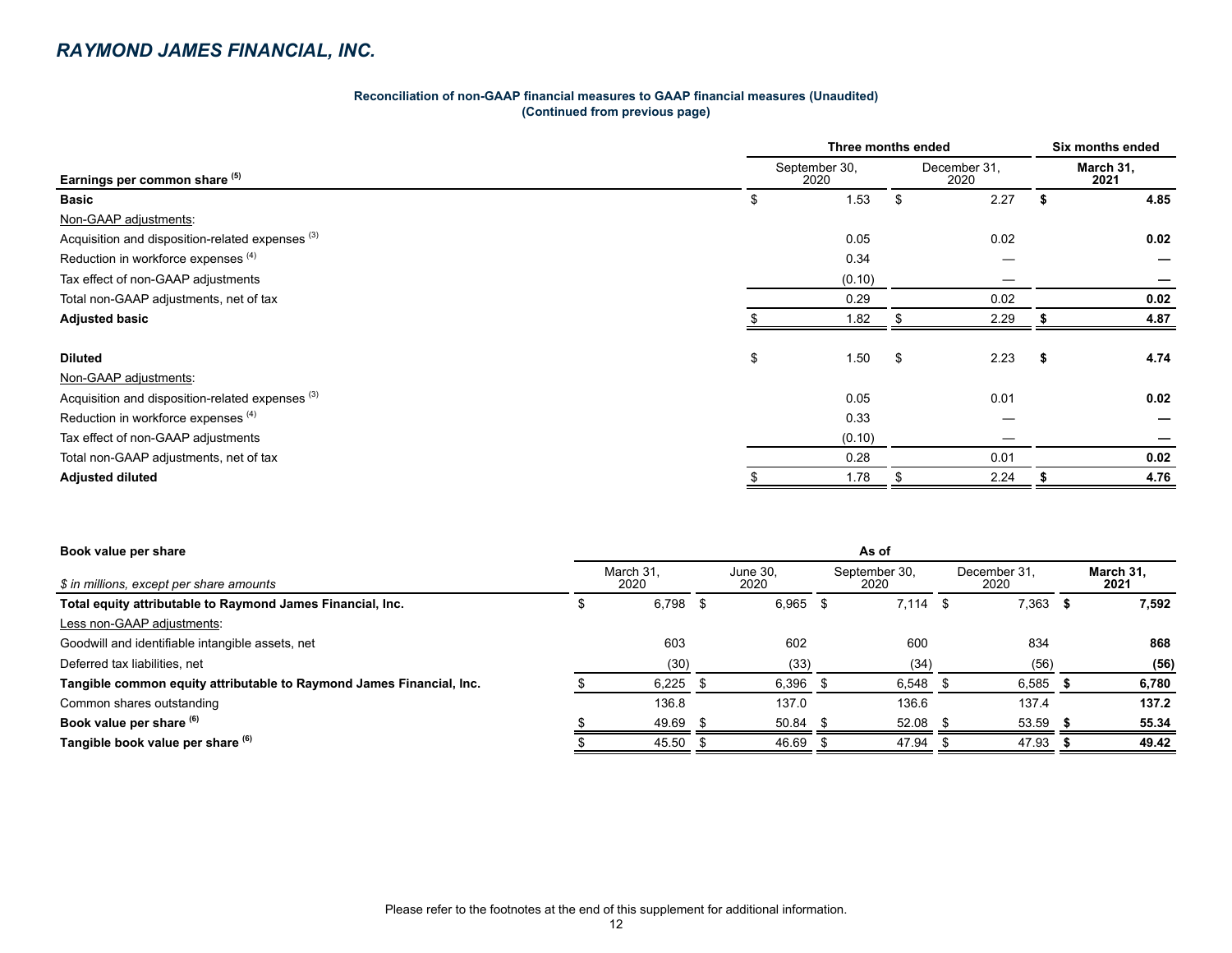| Reconciliation of non-GAAP financial measures to GAAP financial measures (Unaudited) |  |
|--------------------------------------------------------------------------------------|--|
| (Continued from previous page)                                                       |  |

|                                                             | Three months ended    |    |                      |                   |      |  |  |  |
|-------------------------------------------------------------|-----------------------|----|----------------------|-------------------|------|--|--|--|
| Earnings per common share (5)                               | September 30,<br>2020 |    | December 31,<br>2020 | March 31,<br>2021 |      |  |  |  |
| <b>Basic</b>                                                | \$<br>1.53            | \$ | 2.27                 |                   | 4.85 |  |  |  |
| Non-GAAP adjustments:                                       |                       |    |                      |                   |      |  |  |  |
| Acquisition and disposition-related expenses <sup>(3)</sup> | 0.05                  |    | 0.02                 |                   | 0.02 |  |  |  |
| Reduction in workforce expenses (4)                         | 0.34                  |    |                      |                   |      |  |  |  |
| Tax effect of non-GAAP adjustments                          | (0.10)                |    |                      |                   |      |  |  |  |
| Total non-GAAP adjustments, net of tax                      | 0.29                  |    | 0.02                 |                   | 0.02 |  |  |  |
| <b>Adjusted basic</b>                                       | 1.82                  |    | 2.29                 |                   | 4.87 |  |  |  |
| <b>Diluted</b>                                              | \$<br>1.50            | \$ | 2.23                 | - 5               | 4.74 |  |  |  |
| Non-GAAP adjustments:                                       |                       |    |                      |                   |      |  |  |  |
| Acquisition and disposition-related expenses <sup>(3)</sup> | 0.05                  |    | 0.01                 |                   | 0.02 |  |  |  |
| Reduction in workforce expenses (4)                         | 0.33                  |    |                      |                   |      |  |  |  |
| Tax effect of non-GAAP adjustments                          | (0.10)                |    |                      |                   |      |  |  |  |
| Total non-GAAP adjustments, net of tax                      | 0.28                  |    | 0.01                 |                   | 0.02 |  |  |  |
| <b>Adjusted diluted</b>                                     | 1.78                  |    | 2.24                 |                   | 4.76 |  |  |  |

| Book value per share                                                 | As of             |       |                  |       |                       |            |                      |       |  |                   |
|----------------------------------------------------------------------|-------------------|-------|------------------|-------|-----------------------|------------|----------------------|-------|--|-------------------|
| \$ in millions, except per share amounts                             | March 31,<br>2020 |       | June 30.<br>2020 |       | September 30,<br>2020 |            | December 31.<br>2020 |       |  | March 31.<br>2021 |
| Total equity attributable to Raymond James Financial, Inc.           |                   | 6,798 |                  | 6,965 |                       | $7.114$ \$ |                      | 7,363 |  | 7,592             |
| Less non-GAAP adjustments:                                           |                   |       |                  |       |                       |            |                      |       |  |                   |
| Goodwill and identifiable intangible assets, net                     |                   | 603   |                  | 602   |                       | 600        |                      | 834   |  | 868               |
| Deferred tax liabilities, net                                        |                   | (30)  |                  | (33)  |                       | (34)       |                      | (56)  |  | (56)              |
| Tangible common equity attributable to Raymond James Financial, Inc. |                   | 6,225 |                  | 6,396 |                       | 6,548      |                      | 6,585 |  | 6,780             |
| Common shares outstanding                                            |                   | 136.8 |                  | 137.0 |                       | 136.6      |                      | 137.4 |  | 137.2             |
| Book value per share (6)                                             |                   | 49.69 |                  | 50.84 |                       | 52.08      |                      | 53.59 |  | 55.34             |
| Tangible book value per share (6)                                    |                   | 45.50 |                  | 46.69 |                       | 47.94      |                      | 47.93 |  | 49.42             |
|                                                                      |                   |       |                  |       |                       |            |                      |       |  |                   |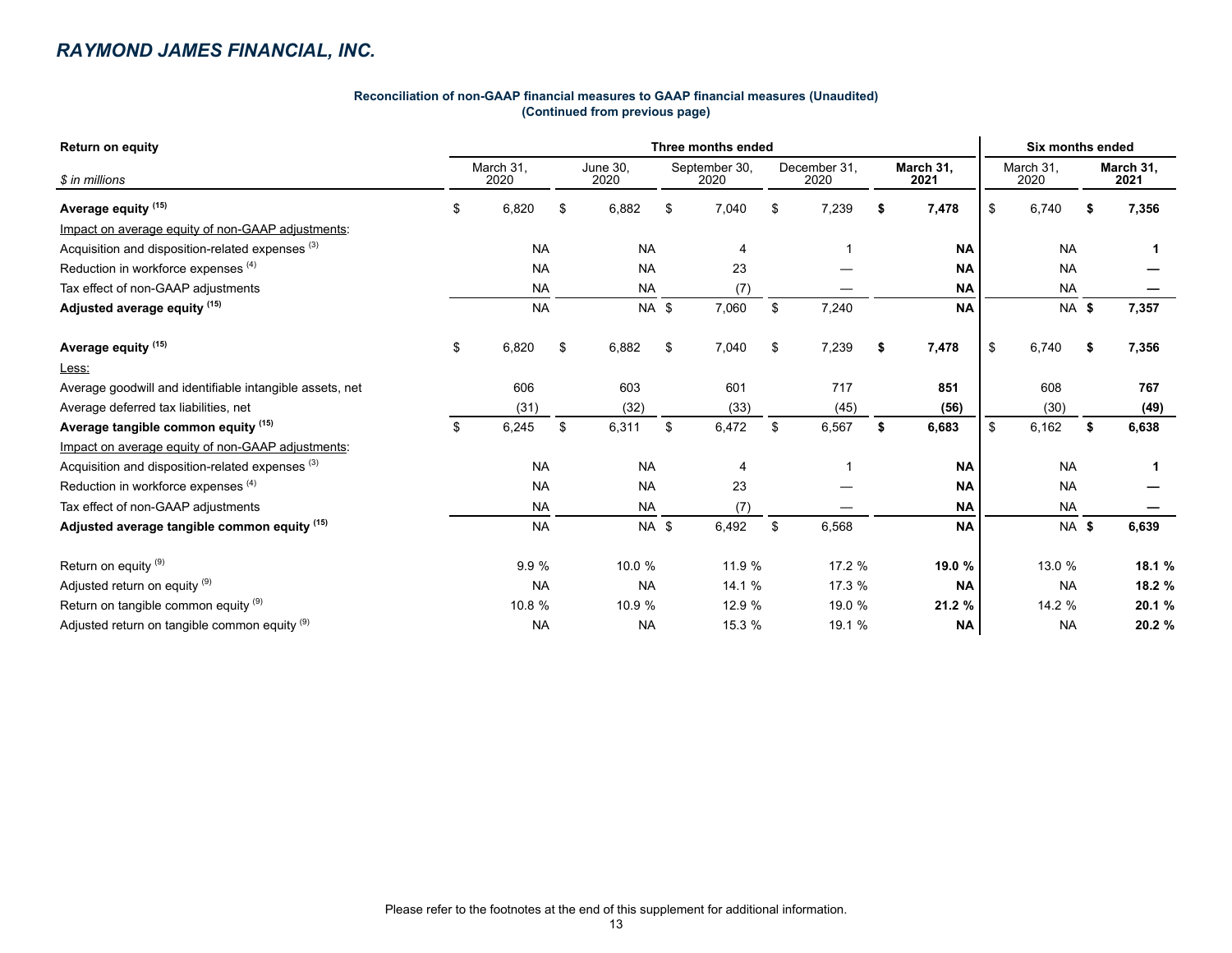### *RAYMOND JAMES FINANCIAL, INC.*

#### **Reconciliation of non-GAAP financial measures to GAAP financial measures (Unaudited) (Continued from previous page)**

| <b>Return on equity</b>                                     | Three months ended |                   |      |                  |    |                       |                      |        |    |                   |      | <b>Six months ended</b> |    |                   |  |  |  |  |
|-------------------------------------------------------------|--------------------|-------------------|------|------------------|----|-----------------------|----------------------|--------|----|-------------------|------|-------------------------|----|-------------------|--|--|--|--|
| \$ in millions                                              |                    | March 31,<br>2020 |      | June 30,<br>2020 |    | September 30,<br>2020 | December 31,<br>2020 |        |    | March 31,<br>2021 |      | March 31,<br>2020       |    | March 31,<br>2021 |  |  |  |  |
| Average equity <sup>(15)</sup>                              | \$                 | 6,820             | \$   | 6,882            | \$ | 7,040                 | \$.                  | 7,239  | \$ | 7,478             | \$   | 6,740                   | -9 | 7,356             |  |  |  |  |
| Impact on average equity of non-GAAP adjustments:           |                    |                   |      |                  |    |                       |                      |        |    |                   |      |                         |    |                   |  |  |  |  |
| Acquisition and disposition-related expenses <sup>(3)</sup> |                    | <b>NA</b>         |      | <b>NA</b>        |    | 4                     |                      |        |    | <b>NA</b>         |      | <b>NA</b>               |    |                   |  |  |  |  |
| Reduction in workforce expenses (4)                         |                    | <b>NA</b>         |      | <b>NA</b>        |    | 23                    |                      |        |    | <b>NA</b>         |      | <b>NA</b>               |    |                   |  |  |  |  |
| Tax effect of non-GAAP adjustments                          |                    | <b>NA</b>         |      | <b>NA</b>        |    | (7)                   |                      |        |    | <b>NA</b>         |      | <b>NA</b>               |    |                   |  |  |  |  |
| Adjusted average equity (15)                                |                    | <b>NA</b>         |      | NA \$            |    | 7,060                 | \$                   | 7,240  |    | <b>NA</b>         |      | <b>NA \$</b>            |    | 7,357             |  |  |  |  |
| Average equity <sup>(15)</sup>                              | \$                 | 6,820             | \$   | 6,882            | \$ | 7,040                 | \$                   | 7,239  | \$ | 7,478             | \$   | 6,740                   | S. | 7,356             |  |  |  |  |
| Less:                                                       |                    |                   |      |                  |    |                       |                      |        |    |                   |      |                         |    |                   |  |  |  |  |
| Average goodwill and identifiable intangible assets, net    |                    | 606               |      | 603              |    | 601                   |                      | 717    |    | 851               |      | 608                     |    | 767               |  |  |  |  |
| Average deferred tax liabilities, net                       |                    | (31)              | (32) |                  |    | (33)                  |                      | (45)   |    | (56)              | (30) |                         |    | (49)              |  |  |  |  |
| Average tangible common equity (15)                         | \$                 | 6,245             | \$   | 6,311            | \$ | 6,472                 | \$                   | 6,567  | \$ | 6,683             | \$   | 6,162                   | \$ | 6,638             |  |  |  |  |
| Impact on average equity of non-GAAP adjustments:           |                    |                   |      |                  |    |                       |                      |        |    |                   |      |                         |    |                   |  |  |  |  |
| Acquisition and disposition-related expenses <sup>(3)</sup> |                    | <b>NA</b>         |      | <b>NA</b>        |    | 4                     |                      |        |    | <b>NA</b>         |      | <b>NA</b>               |    | 1                 |  |  |  |  |
| Reduction in workforce expenses <sup>(4)</sup>              |                    | <b>NA</b>         |      | <b>NA</b>        |    | 23                    |                      |        |    | <b>NA</b>         |      | <b>NA</b>               |    |                   |  |  |  |  |
| Tax effect of non-GAAP adjustments                          |                    | <b>NA</b>         |      | <b>NA</b>        |    | (7)                   |                      |        |    | <b>NA</b>         |      | <b>NA</b>               |    |                   |  |  |  |  |
| Adjusted average tangible common equity (15)                |                    | <b>NA</b>         |      | NA \$            |    | 6,492                 | \$                   | 6,568  |    | <b>NA</b>         |      | <b>NA \$</b>            |    | 6,639             |  |  |  |  |
| Return on equity <sup>(9)</sup>                             |                    | 9.9%              |      | 10.0 %           |    | 11.9 %                |                      | 17.2 % |    | 19.0 %            |      | 13.0 %                  |    | 18.1 %            |  |  |  |  |
| Adjusted return on equity (9)                               |                    | <b>NA</b>         |      | <b>NA</b>        |    | 14.1 %                |                      | 17.3 % |    | <b>NA</b>         |      | <b>NA</b>               |    | 18.2 %            |  |  |  |  |
| Return on tangible common equity (9)                        |                    | 10.8 %            |      | 10.9 %           |    | 12.9 %                |                      | 19.0 % |    | 21.2 %            |      | 14.2 %                  |    | 20.1 %            |  |  |  |  |
| Adjusted return on tangible common equity (9)               |                    | <b>NA</b>         |      | <b>NA</b>        |    | 15.3 %                |                      | 19.1 % |    | <b>NA</b>         |      | <b>NA</b>               |    | 20.2 %            |  |  |  |  |